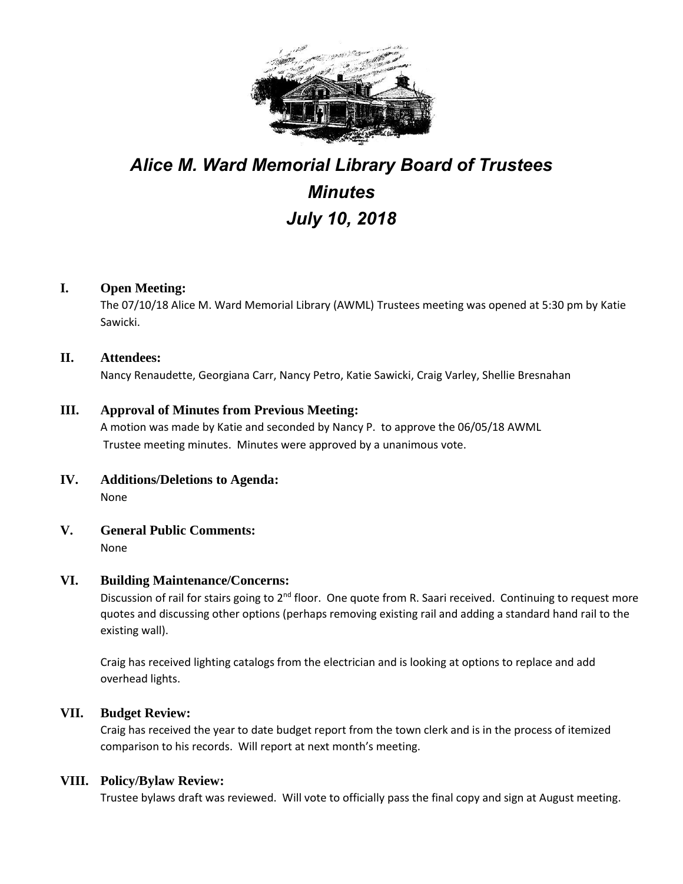

# *Alice M. Ward Memorial Library Board of Trustees Minutes July 10, 2018*

# **I. Open Meeting:**

The 07/10/18 Alice M. Ward Memorial Library (AWML) Trustees meeting was opened at 5:30 pm by Katie Sawicki.

## **II. Attendees:**

Nancy Renaudette, Georgiana Carr, Nancy Petro, Katie Sawicki, Craig Varley, Shellie Bresnahan

# **III. Approval of Minutes from Previous Meeting:**

A motion was made by Katie and seconded by Nancy P. to approve the 06/05/18 AWML Trustee meeting minutes. Minutes were approved by a unanimous vote.

- **IV. Additions/Deletions to Agenda:** None
- **V. General Public Comments:** None

## **VI. Building Maintenance/Concerns:**

Discussion of rail for stairs going to 2<sup>nd</sup> floor. One quote from R. Saari received. Continuing to request more quotes and discussing other options (perhaps removing existing rail and adding a standard hand rail to the existing wall).

Craig has received lighting catalogs from the electrician and is looking at options to replace and add overhead lights.

## **VII. Budget Review:**

Craig has received the year to date budget report from the town clerk and is in the process of itemized comparison to his records. Will report at next month's meeting.

## **VIII. Policy/Bylaw Review:**

Trustee bylaws draft was reviewed. Will vote to officially pass the final copy and sign at August meeting.